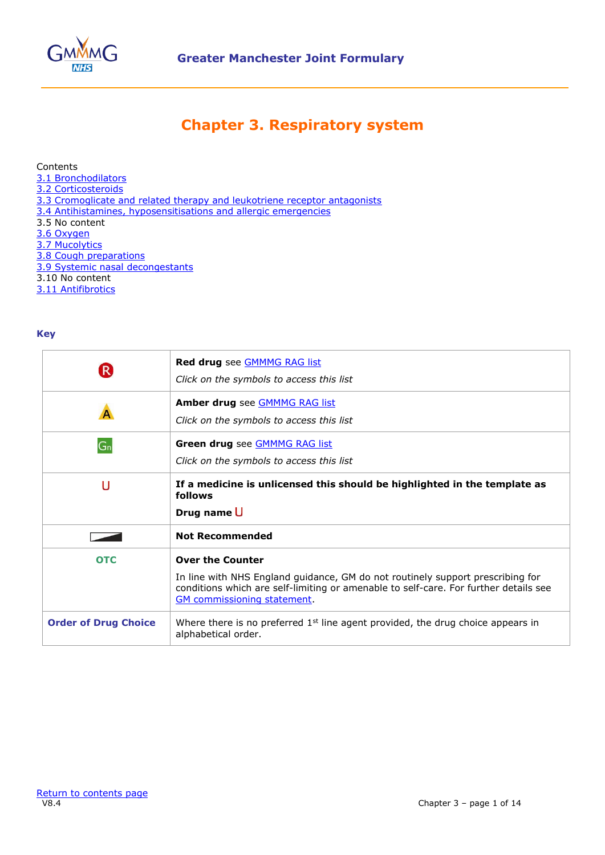

## **Chapter 3. Respiratory system**

## <span id="page-0-0"></span>Contents

- [3.1 Bronchodilators](#page-1-0)
- [3.2 Corticosteroids](#page-5-0)
- [3.3 Cromoglicate and related therapy and leukotriene receptor antagonists](#page-8-0)
- [3.4 Antihistamines, hyposensitisations and allergic emergencies](#page-9-0)
- 3.5 No content
- [3.6 Oxygen](#page-11-0)
- [3.7 Mucolytics](#page-12-0)
- <span id="page-0-1"></span>[3.8 Cough preparations](#page-0-1)
- [3.9 Systemic nasal decongestants](#page-13-0)
- 3.10 No content
- [3.11 Antifibrotics](#page-13-1)

## **Key**

|                             | <b>Red drug</b> see <b>GMMMG</b> RAG list<br>Click on the symbols to access this list                                                                                                                                                   |  |
|-----------------------------|-----------------------------------------------------------------------------------------------------------------------------------------------------------------------------------------------------------------------------------------|--|
|                             | Amber drug see <b>GMMMG RAG list</b><br>Click on the symbols to access this list                                                                                                                                                        |  |
| $G_n$                       | Green drug see <b>GMMMG RAG list</b><br>Click on the symbols to access this list                                                                                                                                                        |  |
| U                           | If a medicine is unlicensed this should be highlighted in the template as<br>follows<br>Drug name U                                                                                                                                     |  |
|                             | <b>Not Recommended</b>                                                                                                                                                                                                                  |  |
| <b>OTC</b>                  | <b>Over the Counter</b><br>In line with NHS England guidance, GM do not routinely support prescribing for<br>conditions which are self-limiting or amenable to self-care. For further details see<br><b>GM</b> commissioning statement. |  |
| <b>Order of Drug Choice</b> | Where there is no preferred $1st$ line agent provided, the drug choice appears in<br>alphabetical order.                                                                                                                                |  |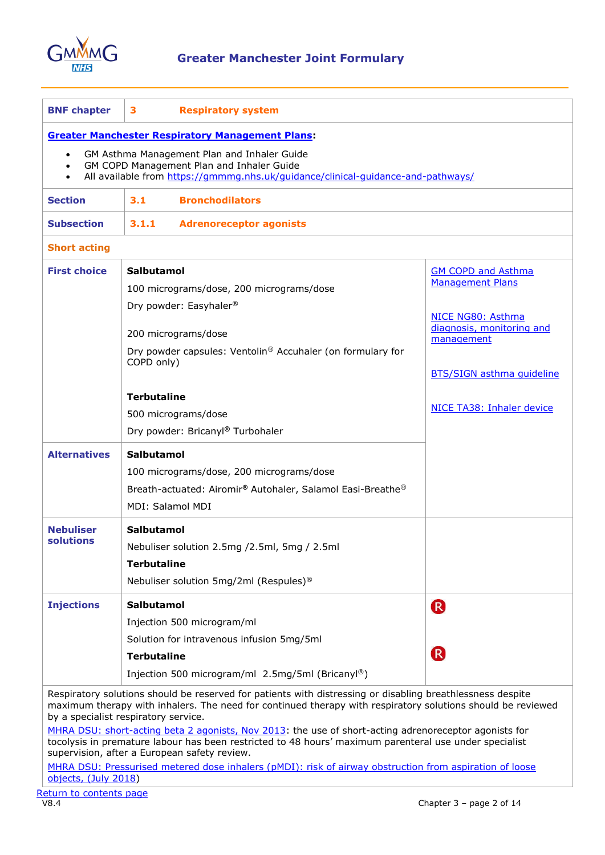

<span id="page-1-0"></span>

| <b>BNF chapter</b>                                                                                                                                                                                                                                                                                                                                                         | 3<br><b>Respiratory system</b>                                           |                                                |  |
|----------------------------------------------------------------------------------------------------------------------------------------------------------------------------------------------------------------------------------------------------------------------------------------------------------------------------------------------------------------------------|--------------------------------------------------------------------------|------------------------------------------------|--|
| <b>Greater Manchester Respiratory Management Plans:</b>                                                                                                                                                                                                                                                                                                                    |                                                                          |                                                |  |
| GM Asthma Management Plan and Inhaler Guide<br>$\bullet$<br>GM COPD Management Plan and Inhaler Guide<br>$\bullet$<br>All available from https://gmmmg.nhs.uk/guidance/clinical-guidance-and-pathways/                                                                                                                                                                     |                                                                          |                                                |  |
| <b>Section</b>                                                                                                                                                                                                                                                                                                                                                             | <b>Bronchodilators</b><br>3.1                                            |                                                |  |
| <b>Subsection</b>                                                                                                                                                                                                                                                                                                                                                          | 3.1.1<br><b>Adrenoreceptor agonists</b>                                  |                                                |  |
| <b>Short acting</b>                                                                                                                                                                                                                                                                                                                                                        |                                                                          |                                                |  |
| <b>First choice</b>                                                                                                                                                                                                                                                                                                                                                        | Salbutamol                                                               | <b>GM COPD and Asthma</b>                      |  |
|                                                                                                                                                                                                                                                                                                                                                                            | 100 micrograms/dose, 200 micrograms/dose                                 | <b>Management Plans</b>                        |  |
|                                                                                                                                                                                                                                                                                                                                                                            | Dry powder: Easyhaler <sup>®</sup>                                       |                                                |  |
|                                                                                                                                                                                                                                                                                                                                                                            |                                                                          | NICE NG80: Asthma<br>diagnosis, monitoring and |  |
|                                                                                                                                                                                                                                                                                                                                                                            | 200 micrograms/dose                                                      | management                                     |  |
|                                                                                                                                                                                                                                                                                                                                                                            | Dry powder capsules: Ventolin® Accuhaler (on formulary for<br>COPD only) |                                                |  |
|                                                                                                                                                                                                                                                                                                                                                                            |                                                                          | <b>BTS/SIGN asthma quideline</b>               |  |
|                                                                                                                                                                                                                                                                                                                                                                            | <b>Terbutaline</b>                                                       |                                                |  |
|                                                                                                                                                                                                                                                                                                                                                                            | 500 micrograms/dose                                                      | NICE TA38: Inhaler device                      |  |
|                                                                                                                                                                                                                                                                                                                                                                            | Dry powder: Bricanyl® Turbohaler                                         |                                                |  |
| <b>Alternatives</b>                                                                                                                                                                                                                                                                                                                                                        | <b>Salbutamol</b>                                                        |                                                |  |
|                                                                                                                                                                                                                                                                                                                                                                            | 100 micrograms/dose, 200 micrograms/dose                                 |                                                |  |
|                                                                                                                                                                                                                                                                                                                                                                            | Breath-actuated: Airomir® Autohaler, Salamol Easi-Breathe®               |                                                |  |
|                                                                                                                                                                                                                                                                                                                                                                            | MDI: Salamol MDI                                                         |                                                |  |
| Nebuliser                                                                                                                                                                                                                                                                                                                                                                  | Salbutamol                                                               |                                                |  |
| solutions                                                                                                                                                                                                                                                                                                                                                                  | Nebuliser solution 2.5mg / 2.5ml, 5mg / 2.5ml                            |                                                |  |
|                                                                                                                                                                                                                                                                                                                                                                            | <b>Terbutaline</b>                                                       |                                                |  |
|                                                                                                                                                                                                                                                                                                                                                                            | Nebuliser solution 5mg/2ml (Respules) <sup>®</sup>                       |                                                |  |
| <b>Injections</b>                                                                                                                                                                                                                                                                                                                                                          | Salbutamol                                                               | R                                              |  |
|                                                                                                                                                                                                                                                                                                                                                                            | Injection 500 microgram/ml                                               |                                                |  |
|                                                                                                                                                                                                                                                                                                                                                                            | Solution for intravenous infusion 5mg/5ml                                |                                                |  |
|                                                                                                                                                                                                                                                                                                                                                                            | <b>Terbutaline</b>                                                       | R                                              |  |
|                                                                                                                                                                                                                                                                                                                                                                            | Injection 500 microgram/ml 2.5mg/5ml (Bricanyl®)                         |                                                |  |
| Respiratory solutions should be reserved for patients with distressing or disabling breathlessness despite<br>maximum therapy with inhalers. The need for continued therapy with respiratory solutions should be reviewed<br>by a specialist respiratory service.<br>MHRA DSU: short-acting beta 2 agonists, Nov 2013: the use of short-acting adrenoreceptor agonists for |                                                                          |                                                |  |
| tocolysis in premature labour has been restricted to 48 hours' maximum parenteral use under specialist<br>supervision, after a European safety review.                                                                                                                                                                                                                     |                                                                          |                                                |  |

MHRA DSU: Pressurised metered dose inhalers (pMDI): risk of airway obstruction from aspiration of loose [objects, \(July 2018\)](https://www.gov.uk/drug-safety-update/pressurised-metered-dose-inhalers-pmdi-risk-of-airway-obstruction-from-aspiration-of-loose-objects)

[Return to contents page](#page-0-0)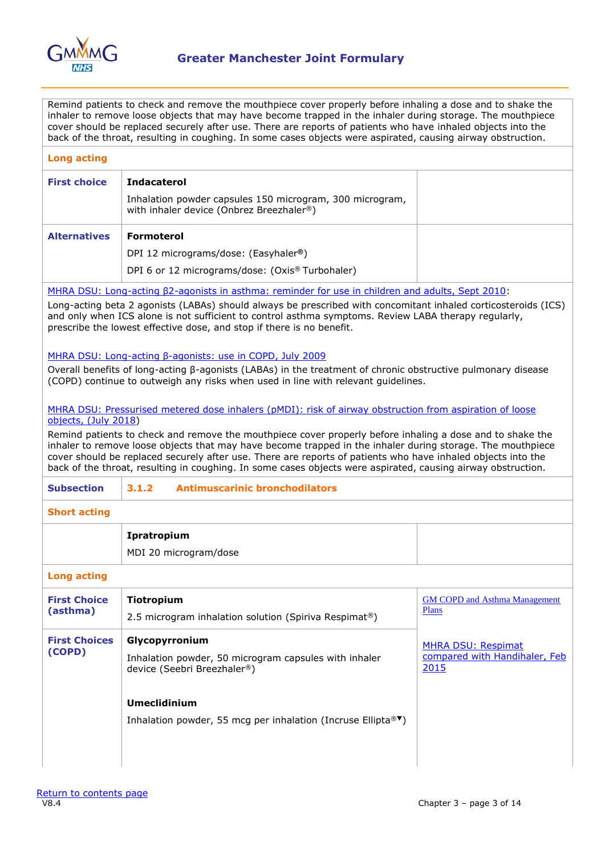

Remind patients to check and remove the mouthpiece cover properly before inhaling a dose and to shake the inhaler to remove loose objects that may have become trapped in the inhaler during storage. The mouthpiece cover should be replaced securely after use. There are reports of patients who have inhaled objects into the back of the throat, resulting in coughing. In some cases objects were aspirated, causing airway obstruction.

| <b>Long acting</b>                                                  |                                                                                                                                                                                                                                                                                                                                                                                                                                                                                                                                                                                            |                                                                    |  |  |
|---------------------------------------------------------------------|--------------------------------------------------------------------------------------------------------------------------------------------------------------------------------------------------------------------------------------------------------------------------------------------------------------------------------------------------------------------------------------------------------------------------------------------------------------------------------------------------------------------------------------------------------------------------------------------|--------------------------------------------------------------------|--|--|
| <b>First choice</b>                                                 | <b>Indacaterol</b><br>Inhalation powder capsules 150 microgram, 300 microgram,<br>with inhaler device (Onbrez Breezhaler®)                                                                                                                                                                                                                                                                                                                                                                                                                                                                 |                                                                    |  |  |
| <b>Alternatives</b>                                                 | <b>Formoterol</b><br>DPI 12 micrograms/dose: (Easyhaler <sup>®</sup> )                                                                                                                                                                                                                                                                                                                                                                                                                                                                                                                     |                                                                    |  |  |
|                                                                     | DPI 6 or 12 micrograms/dose: (Oxis® Turbohaler)                                                                                                                                                                                                                                                                                                                                                                                                                                                                                                                                            |                                                                    |  |  |
|                                                                     | MHRA DSU: Long-acting B2-agonists in asthma: reminder for use in children and adults, Sept 2010:                                                                                                                                                                                                                                                                                                                                                                                                                                                                                           |                                                                    |  |  |
|                                                                     | Long-acting beta 2 agonists (LABAs) should always be prescribed with concomitant inhaled corticosteroids (ICS)<br>and only when ICS alone is not sufficient to control asthma symptoms. Review LABA therapy regularly,<br>prescribe the lowest effective dose, and stop if there is no benefit.                                                                                                                                                                                                                                                                                            |                                                                    |  |  |
|                                                                     | MHRA DSU: Long-acting B-agonists: use in COPD, July 2009                                                                                                                                                                                                                                                                                                                                                                                                                                                                                                                                   |                                                                    |  |  |
|                                                                     | Overall benefits of long-acting $\beta$ -agonists (LABAs) in the treatment of chronic obstructive pulmonary disease<br>(COPD) continue to outweigh any risks when used in line with relevant quidelines.                                                                                                                                                                                                                                                                                                                                                                                   |                                                                    |  |  |
|                                                                     | MHRA DSU: Pressurised metered dose inhalers (pMDI): risk of airway obstruction from aspiration of loose<br>objects, (July 2018)<br>Remind patients to check and remove the mouthpiece cover properly before inhaling a dose and to shake the<br>inhaler to remove loose objects that may have become trapped in the inhaler during storage. The mouthpiece<br>cover should be replaced securely after use. There are reports of patients who have inhaled objects into the<br>back of the throat, resulting in coughing. In some cases objects were aspirated, causing airway obstruction. |                                                                    |  |  |
| <b>Subsection</b><br><b>Antimuscarinic bronchodilators</b><br>3.1.2 |                                                                                                                                                                                                                                                                                                                                                                                                                                                                                                                                                                                            |                                                                    |  |  |
| <b>Short acting</b>                                                 |                                                                                                                                                                                                                                                                                                                                                                                                                                                                                                                                                                                            |                                                                    |  |  |
|                                                                     | Ipratropium<br>MDI 20 microgram/dose                                                                                                                                                                                                                                                                                                                                                                                                                                                                                                                                                       |                                                                    |  |  |
| <b>Long acting</b>                                                  |                                                                                                                                                                                                                                                                                                                                                                                                                                                                                                                                                                                            |                                                                    |  |  |
| <b>First Choice</b><br>(asthma)                                     | Tiotropium<br>2.5 microgram inhalation solution (Spiriva Respimat®)                                                                                                                                                                                                                                                                                                                                                                                                                                                                                                                        | <b>GM COPD and Asthma Management</b><br><b>Plans</b>               |  |  |
| <b>First Choices</b><br>(COPD)                                      | Glycopyrronium<br>Inhalation powder, 50 microgram capsules with inhaler<br>device (Seebri Breezhaler®)                                                                                                                                                                                                                                                                                                                                                                                                                                                                                     | <b>MHRA DSU: Respimat</b><br>compared with Handihaler, Feb<br>2015 |  |  |
|                                                                     | <b>Umeclidinium</b><br>Inhalation powder, 55 mcg per inhalation (Incruse Ellipta® <sup>▼</sup> )                                                                                                                                                                                                                                                                                                                                                                                                                                                                                           |                                                                    |  |  |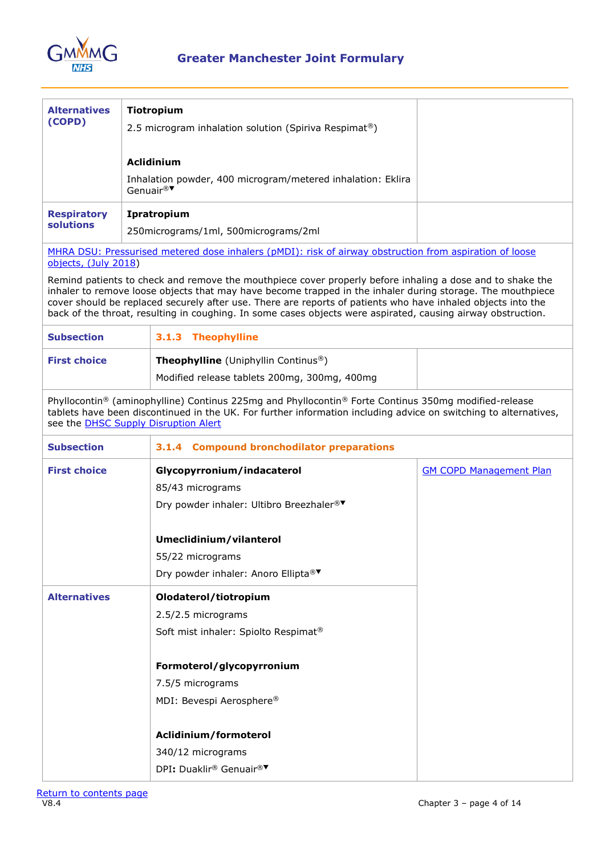

| 3.1.3 Theophylline                                                                                                                                                                                                         |                                                                                                                                                                                                                                                                                                                                                                                                                                                                                                                                                                                                                                                                                                                                                                                                                                                                                                                                                                                                                                                                                                                    |  |  |
|----------------------------------------------------------------------------------------------------------------------------------------------------------------------------------------------------------------------------|--------------------------------------------------------------------------------------------------------------------------------------------------------------------------------------------------------------------------------------------------------------------------------------------------------------------------------------------------------------------------------------------------------------------------------------------------------------------------------------------------------------------------------------------------------------------------------------------------------------------------------------------------------------------------------------------------------------------------------------------------------------------------------------------------------------------------------------------------------------------------------------------------------------------------------------------------------------------------------------------------------------------------------------------------------------------------------------------------------------------|--|--|
| Theophylline (Uniphyllin Continus <sup>®</sup> )<br>Modified release tablets 200mg, 300mg, 400mg                                                                                                                           |                                                                                                                                                                                                                                                                                                                                                                                                                                                                                                                                                                                                                                                                                                                                                                                                                                                                                                                                                                                                                                                                                                                    |  |  |
|                                                                                                                                                                                                                            |                                                                                                                                                                                                                                                                                                                                                                                                                                                                                                                                                                                                                                                                                                                                                                                                                                                                                                                                                                                                                                                                                                                    |  |  |
| <b>Compound bronchodilator preparations</b><br>3.1.4                                                                                                                                                                       |                                                                                                                                                                                                                                                                                                                                                                                                                                                                                                                                                                                                                                                                                                                                                                                                                                                                                                                                                                                                                                                                                                                    |  |  |
| Glycopyrronium/indacaterol<br>85/43 micrograms<br>Dry powder inhaler: Ultibro Breezhaler®<br>Umeclidinium/vilanterol<br>55/22 micrograms<br>Dry powder inhaler: Anoro Ellipta® <sup>▼</sup>                                | <b>GM COPD Management Plan</b>                                                                                                                                                                                                                                                                                                                                                                                                                                                                                                                                                                                                                                                                                                                                                                                                                                                                                                                                                                                                                                                                                     |  |  |
| Olodaterol/tiotropium<br>2.5/2.5 micrograms<br>Soft mist inhaler: Spiolto Respimat <sup>®</sup><br>Formoterol/glycopyrronium<br>7.5/5 micrograms<br>MDI: Bevespi Aerosphere®<br>Aclidinium/formoterol<br>340/12 micrograms |                                                                                                                                                                                                                                                                                                                                                                                                                                                                                                                                                                                                                                                                                                                                                                                                                                                                                                                                                                                                                                                                                                                    |  |  |
| objects, (July 2018)                                                                                                                                                                                                       | Tiotropium<br>2.5 microgram inhalation solution (Spiriva Respimat®)<br><b>Aclidinium</b><br>Inhalation powder, 400 microgram/metered inhalation: Eklira<br>Genuair®<br>Ipratropium<br>250micrograms/1ml, 500micrograms/2ml<br>MHRA DSU: Pressurised metered dose inhalers (pMDI): risk of airway obstruction from aspiration of loose<br>Remind patients to check and remove the mouthpiece cover properly before inhaling a dose and to shake the<br>inhaler to remove loose objects that may have become trapped in the inhaler during storage. The mouthpiece<br>cover should be replaced securely after use. There are reports of patients who have inhaled objects into the<br>back of the throat, resulting in coughing. In some cases objects were aspirated, causing airway obstruction.<br>Phyllocontin® (aminophylline) Continus 225mg and Phyllocontin® Forte Continus 350mg modified-release<br>tablets have been discontinued in the UK. For further information including advice on switching to alternatives,<br>see the <b>DHSC Supply Disruption Alert</b><br>DPI: Duaklir® Genuair® <sup>▼</sup> |  |  |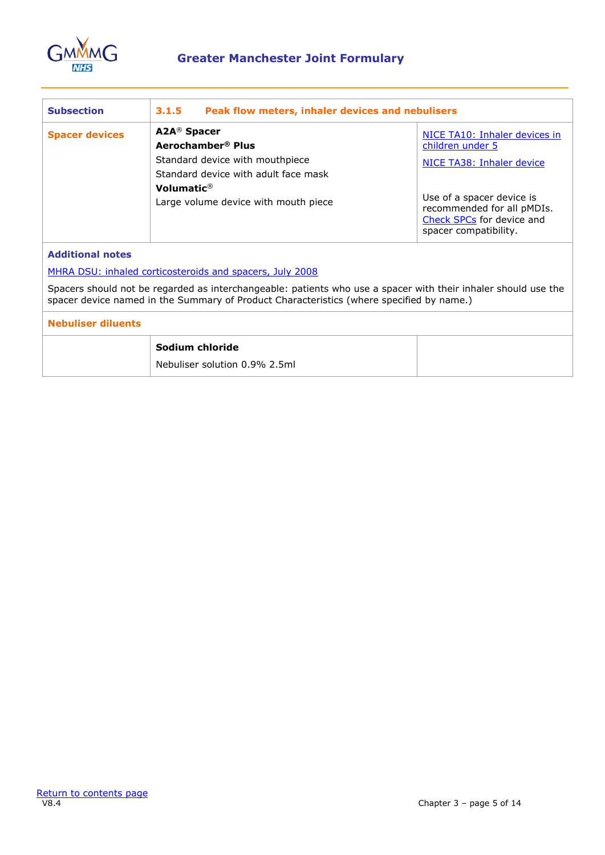

| <b>Subsection</b>                                                                                                                                                                                          | 3.1.5<br>Peak flow meters, inhaler devices and nebulisers                                                                                                                                              |                                                                                                                                                                                                 |  |
|------------------------------------------------------------------------------------------------------------------------------------------------------------------------------------------------------------|--------------------------------------------------------------------------------------------------------------------------------------------------------------------------------------------------------|-------------------------------------------------------------------------------------------------------------------------------------------------------------------------------------------------|--|
| <b>Spacer devices</b>                                                                                                                                                                                      | A2A <sup>®</sup> Spacer<br>Aerochamber <sup>®</sup> Plus<br>Standard device with mouthpiece<br>Standard device with adult face mask<br>Volumatic $\mathcal{P}$<br>Large volume device with mouth piece | NICE TA10: Inhaler devices in<br>children under 5<br>NICE TA38: Inhaler device<br>Use of a spacer device is<br>recommended for all pMDIs.<br>Check SPCs for device and<br>spacer compatibility. |  |
| <b>Additional notes</b>                                                                                                                                                                                    |                                                                                                                                                                                                        |                                                                                                                                                                                                 |  |
| MHRA DSU: inhaled corticosteroids and spacers, July 2008                                                                                                                                                   |                                                                                                                                                                                                        |                                                                                                                                                                                                 |  |
| Spacers should not be regarded as interchangeable: patients who use a spacer with their inhaler should use the<br>spacer device named in the Summary of Product Characteristics (where specified by name.) |                                                                                                                                                                                                        |                                                                                                                                                                                                 |  |
| <b>Nebuliser diluents</b>                                                                                                                                                                                  |                                                                                                                                                                                                        |                                                                                                                                                                                                 |  |
|                                                                                                                                                                                                            | Sodium chloride                                                                                                                                                                                        |                                                                                                                                                                                                 |  |
|                                                                                                                                                                                                            | Nebuliser solution 0.9% 2.5ml                                                                                                                                                                          |                                                                                                                                                                                                 |  |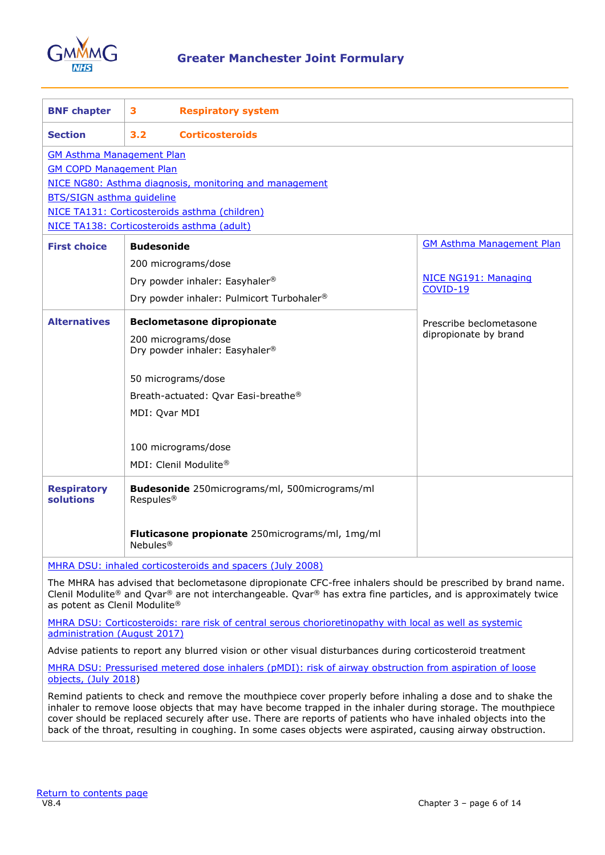

<span id="page-5-0"></span>

| <b>BNF chapter</b>                                        | 3                     | <b>Respiratory system</b>                                                                                  |                                  |
|-----------------------------------------------------------|-----------------------|------------------------------------------------------------------------------------------------------------|----------------------------------|
| <b>Section</b>                                            | 3.2                   | <b>Corticosteroids</b>                                                                                     |                                  |
| <b>GM Asthma Management Plan</b>                          |                       |                                                                                                            |                                  |
| <b>GM COPD Management Plan</b>                            |                       |                                                                                                            |                                  |
|                                                           |                       | NICE NG80: Asthma diagnosis, monitoring and management                                                     |                                  |
| <b>BTS/SIGN asthma quideline</b>                          |                       |                                                                                                            |                                  |
|                                                           |                       | NICE TA131: Corticosteroids asthma (children)                                                              |                                  |
| NICE TA138: Corticosteroids asthma (adult)                |                       |                                                                                                            |                                  |
| <b>First choice</b>                                       | <b>Budesonide</b>     |                                                                                                            | <b>GM Asthma Management Plan</b> |
|                                                           |                       | 200 micrograms/dose                                                                                        |                                  |
|                                                           |                       | Dry powder inhaler: Easyhaler®                                                                             | NICE NG191: Managing             |
|                                                           |                       | Dry powder inhaler: Pulmicort Turbohaler®                                                                  | COVID-19                         |
| <b>Alternatives</b>                                       |                       | <b>Beclometasone dipropionate</b>                                                                          | Prescribe beclometasone          |
|                                                           |                       | 200 micrograms/dose<br>Dry powder inhaler: Easyhaler®                                                      | dipropionate by brand            |
|                                                           |                       | 50 micrograms/dose                                                                                         |                                  |
|                                                           |                       | Breath-actuated: Qvar Easi-breathe®                                                                        |                                  |
|                                                           | MDI: Qvar MDI         |                                                                                                            |                                  |
|                                                           |                       | 100 micrograms/dose                                                                                        |                                  |
|                                                           |                       | MDI: Clenil Modulite®                                                                                      |                                  |
|                                                           |                       |                                                                                                            |                                  |
| <b>Respiratory</b><br>solutions                           | Respules <sup>®</sup> | Budesonide 250micrograms/ml, 500micrograms/ml                                                              |                                  |
|                                                           | Nebules <sup>®</sup>  | Fluticasone propionate 250micrograms/ml, 1mg/ml                                                            |                                  |
| MHRA DSU: inhaled corticosteroids and spacers (July 2008) |                       |                                                                                                            |                                  |
|                                                           |                       | The MHRA has advised that beclometasone dipropionate CFC-free inhalers should be prescribed by brand name. |                                  |

Clenil Modulite® and Qvar® are not interchangeable. Qvar® has extra fine particles, and is approximately twice as potent as Clenil Modulite®

[MHRA DSU: Corticosteroids: rare risk of central serous chorioretinopathy with local as well as systemic](https://www.gov.uk/drug-safety-update/corticosteroids-rare-risk-of-central-serous-chorioretinopathy-with-local-as-well-as-systemic-administration)  [administration \(August 2017\)](https://www.gov.uk/drug-safety-update/corticosteroids-rare-risk-of-central-serous-chorioretinopathy-with-local-as-well-as-systemic-administration)

Advise patients to report any blurred vision or other visual disturbances during corticosteroid treatment

MHRA DSU: Pressurised metered dose inhalers (pMDI): risk of airway obstruction from aspiration of loose [objects, \(July 2018\)](https://www.gov.uk/drug-safety-update/pressurised-metered-dose-inhalers-pmdi-risk-of-airway-obstruction-from-aspiration-of-loose-objects)

Remind patients to check and remove the mouthpiece cover properly before inhaling a dose and to shake the inhaler to remove loose objects that may have become trapped in the inhaler during storage. The mouthpiece cover should be replaced securely after use. There are reports of patients who have inhaled objects into the back of the throat, resulting in coughing. In some cases objects were aspirated, causing airway obstruction.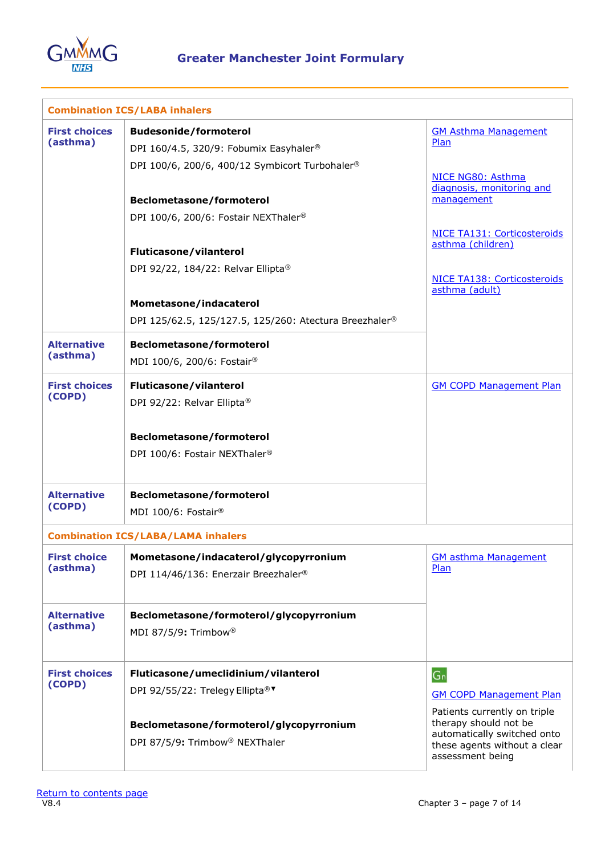

|                                  | <b>Combination ICS/LABA inhalers</b>                                                                                                                                                                                                                                                               |                                                                                                                                                                                                          |
|----------------------------------|----------------------------------------------------------------------------------------------------------------------------------------------------------------------------------------------------------------------------------------------------------------------------------------------------|----------------------------------------------------------------------------------------------------------------------------------------------------------------------------------------------------------|
| <b>First choices</b><br>(asthma) | <b>Budesonide/formoterol</b><br>DPI 160/4.5, 320/9: Fobumix Easyhaler <sup>®</sup><br>DPI 100/6, 200/6, 400/12 Symbicort Turbohaler®<br><b>Beclometasone/formoterol</b><br>DPI 100/6, 200/6: Fostair NEXThaler <sup>®</sup><br><b>Fluticasone/vilanterol</b><br>DPI 92/22, 184/22: Relvar Ellipta® | <b>GM Asthma Management</b><br>Plan<br>NICE NG80: Asthma<br>diagnosis, monitoring and<br>management<br>NICE TA131: Corticosteroids<br>asthma (children)<br>NICE TA138: Corticosteroids<br>asthma (adult) |
|                                  | Mometasone/indacaterol<br>DPI 125/62.5, 125/127.5, 125/260: Atectura Breezhaler <sup>®</sup>                                                                                                                                                                                                       |                                                                                                                                                                                                          |
| <b>Alternative</b><br>(asthma)   | <b>Beclometasone/formoterol</b><br>MDI 100/6, 200/6: Fostair®                                                                                                                                                                                                                                      |                                                                                                                                                                                                          |
| <b>First choices</b><br>(COPD)   | Fluticasone/vilanterol<br>DPI 92/22: Relvar Ellipta®<br><b>Beclometasone/formoterol</b><br>DPI 100/6: Fostair NEXThaler®                                                                                                                                                                           | <b>GM COPD Management Plan</b>                                                                                                                                                                           |
| <b>Alternative</b><br>(COPD)     | <b>Beclometasone/formoterol</b><br>MDI 100/6: Fostair®                                                                                                                                                                                                                                             |                                                                                                                                                                                                          |
|                                  | <b>Combination ICS/LABA/LAMA inhalers</b>                                                                                                                                                                                                                                                          |                                                                                                                                                                                                          |
| <b>First choice</b><br>(asthma)  | Mometasone/indacaterol/glycopyrronium<br>DPI 114/46/136: Enerzair Breezhaler <sup>®</sup>                                                                                                                                                                                                          | <b>GM asthma Management</b><br>Plan                                                                                                                                                                      |
| <b>Alternative</b><br>(asthma)   | Beclometasone/formoterol/glycopyrronium<br>MDI 87/5/9: Trimbow <sup>®</sup>                                                                                                                                                                                                                        |                                                                                                                                                                                                          |
| <b>First choices</b><br>(COPD)   | Fluticasone/umeclidinium/vilanterol<br>DPI 92/55/22: Trelegy Ellipta®<br>Beclometasone/formoterol/glycopyrronium<br>DPI 87/5/9: Trimbow <sup>®</sup> NEXThaler                                                                                                                                     | $G_n$<br><b>GM COPD Management Plan</b><br>Patients currently on triple<br>therapy should not be<br>automatically switched onto<br>these agents without a clear<br>assessment being                      |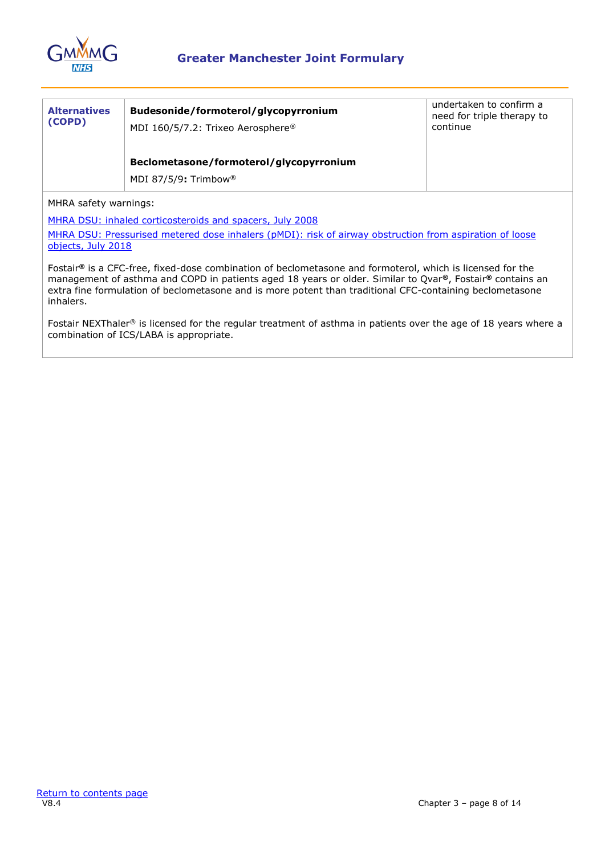

| <b>Alternatives</b><br>(COPD) | Budesonide/formoterol/glycopyrronium<br>MDI 160/5/7.2: Trixeo Aerosphere®   | undertaken to confirm a<br>need for triple therapy to<br>continue |
|-------------------------------|-----------------------------------------------------------------------------|-------------------------------------------------------------------|
|                               | Beclometasone/formoterol/glycopyrronium<br>MDI 87/5/9: Trimbow <sup>®</sup> |                                                                   |

MHRA safety warnings:

[MHRA DSU: inhaled corticosteroids and spacers, July 2008](https://www.gov.uk/drug-safety-update/inhaled-medicines-containing-corticosteroid)

MHRA DSU: Pressurised metered dose inhalers (pMDI): risk of airway obstruction from aspiration of loose [objects, July 2018](https://www.gov.uk/drug-safety-update/pressurised-metered-dose-inhalers-pmdi-risk-of-airway-obstruction-from-aspiration-of-loose-objects)

Fostair**®** is a CFC-free, fixed-dose combination of beclometasone and formoterol, which is licensed for the management of asthma and COPD in patients aged 18 years or older. Similar to Qvar**®**, Fostair**®** contains an extra fine formulation of beclometasone and is more potent than traditional CFC-containing beclometasone inhalers.

Fostair NEXThaler® is licensed for the regular treatment of asthma in patients over the age of 18 years where a combination of ICS/LABA is appropriate.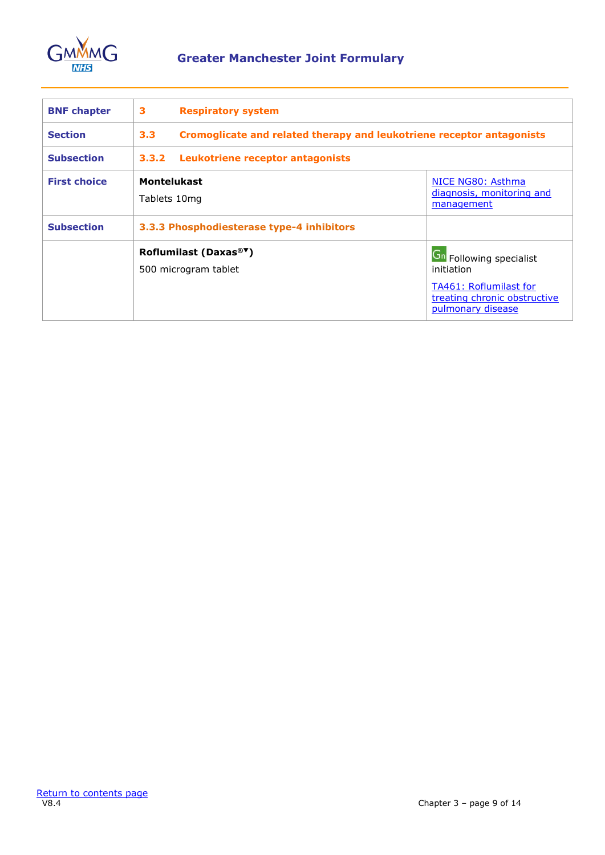

<span id="page-8-0"></span>

| <b>BNF</b> chapter  | 3<br><b>Respiratory system</b>                             |                                                                                                                             |  |  |
|---------------------|------------------------------------------------------------|-----------------------------------------------------------------------------------------------------------------------------|--|--|
| <b>Section</b>      | 3.3 <sub>2</sub>                                           | Cromoglicate and related therapy and leukotriene receptor antagonists                                                       |  |  |
| <b>Subsection</b>   | 3.3.2<br>Leukotriene receptor antagonists                  |                                                                                                                             |  |  |
| <b>First choice</b> | <b>Montelukast</b><br>Tablets 10mg                         | NICE NG80: Asthma<br>diagnosis, monitoring and<br>management                                                                |  |  |
| <b>Subsection</b>   | 3.3.3 Phosphodiesterase type-4 inhibitors                  |                                                                                                                             |  |  |
|                     | Roflumilast (Daxas® <sup>▼</sup> )<br>500 microgram tablet | <b>Gn</b> Following specialist<br>initiation<br>TA461: Roflumilast for<br>treating chronic obstructive<br>pulmonary disease |  |  |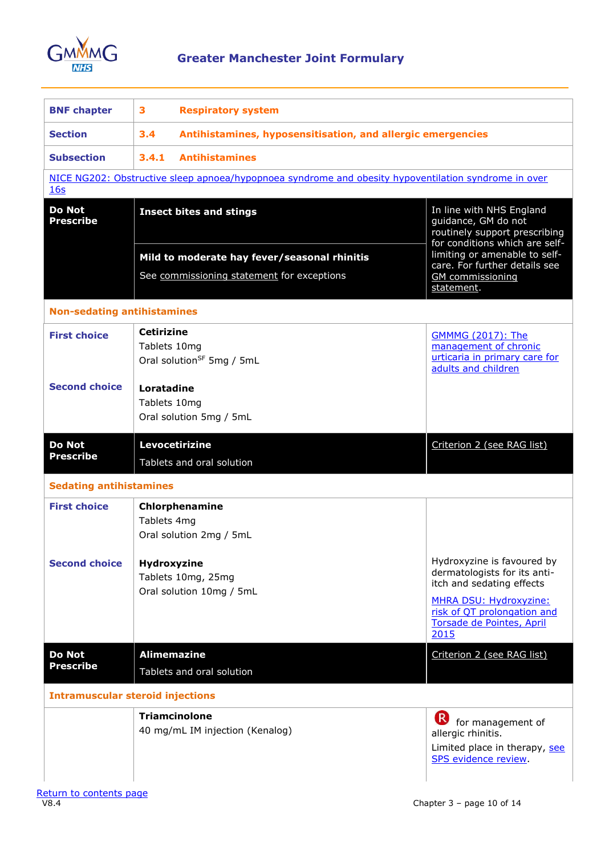

<span id="page-9-0"></span>

| <b>BNF chapter</b>                      | 3                                 | <b>Respiratory system</b>                                                                            |                                                                                                                                                                                              |  |
|-----------------------------------------|-----------------------------------|------------------------------------------------------------------------------------------------------|----------------------------------------------------------------------------------------------------------------------------------------------------------------------------------------------|--|
| <b>Section</b>                          | 3.4                               | Antihistamines, hyposensitisation, and allergic emergencies                                          |                                                                                                                                                                                              |  |
| <b>Subsection</b>                       | 3.4.1<br><b>Antihistamines</b>    |                                                                                                      |                                                                                                                                                                                              |  |
| 16s                                     |                                   | NICE NG202: Obstructive sleep apnoea/hypopnoea syndrome and obesity hypoventilation syndrome in over |                                                                                                                                                                                              |  |
| <b>Do Not</b><br><b>Prescribe</b>       |                                   | <b>Insect bites and stings</b>                                                                       | In line with NHS England<br>guidance, GM do not<br>routinely support prescribing<br>for conditions which are self-                                                                           |  |
|                                         |                                   | Mild to moderate hay fever/seasonal rhinitis                                                         | limiting or amenable to self-<br>care. For further details see                                                                                                                               |  |
|                                         |                                   | See commissioning statement for exceptions                                                           | <b>GM</b> commissioning<br>statement.                                                                                                                                                        |  |
| <b>Non-sedating antihistamines</b>      |                                   |                                                                                                      |                                                                                                                                                                                              |  |
| <b>First choice</b>                     | <b>Cetirizine</b><br>Tablets 10mg | Oral solution <sup>SF</sup> 5mg / 5mL                                                                | <b>GMMMG (2017): The</b><br>management of chronic<br>urticaria in primary care for<br>adults and children                                                                                    |  |
| <b>Second choice</b>                    | Loratadine<br>Tablets 10mg        | Oral solution 5mg / 5mL                                                                              |                                                                                                                                                                                              |  |
| <b>Do Not</b><br><b>Prescribe</b>       |                                   | Levocetirizine<br>Tablets and oral solution                                                          | Criterion 2 (see RAG list)                                                                                                                                                                   |  |
| <b>Sedating antihistamines</b>          |                                   |                                                                                                      |                                                                                                                                                                                              |  |
| <b>First choice</b>                     | Tablets 4mg                       | Chlorphenamine<br>Oral solution 2mg / 5mL                                                            |                                                                                                                                                                                              |  |
| <b>Second choice</b>                    | Hydroxyzine                       | Tablets 10mg, 25mg<br>Oral solution 10mg / 5mL                                                       | Hydroxyzine is favoured by<br>dermatologists for its anti-<br>itch and sedating effects<br><b>MHRA DSU: Hydroxyzine:</b><br>risk of QT prolongation and<br>Torsade de Pointes, April<br>2015 |  |
| <b>Do Not</b><br><b>Prescribe</b>       | <b>Alimemazine</b>                | Tablets and oral solution                                                                            | Criterion 2 (see RAG list)                                                                                                                                                                   |  |
| <b>Intramuscular steroid injections</b> |                                   |                                                                                                      |                                                                                                                                                                                              |  |
|                                         |                                   | <b>Triamcinolone</b><br>40 mg/mL IM injection (Kenalog)                                              | $(\mathsf{R})$<br>for management of<br>allergic rhinitis.<br>Limited place in therapy, see<br>SPS evidence review.                                                                           |  |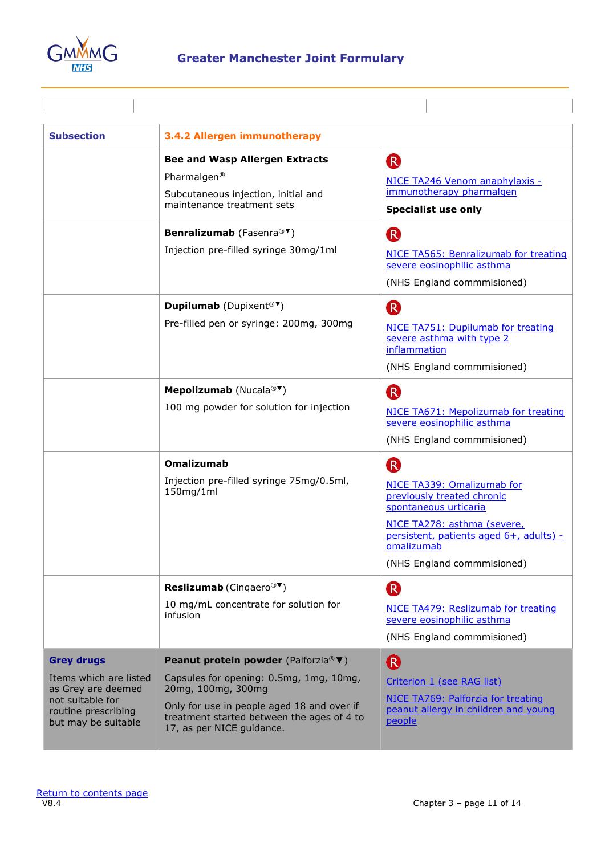

| <b>Subsection</b>                                                                                                                   | 3.4.2 Allergen immunotherapy                                                                                                                                                                                                   |                                                                                                                                                                                                                |
|-------------------------------------------------------------------------------------------------------------------------------------|--------------------------------------------------------------------------------------------------------------------------------------------------------------------------------------------------------------------------------|----------------------------------------------------------------------------------------------------------------------------------------------------------------------------------------------------------------|
|                                                                                                                                     | <b>Bee and Wasp Allergen Extracts</b><br>Pharmalgen <sup>®</sup><br>Subcutaneous injection, initial and<br>maintenance treatment sets                                                                                          | R<br>NICE TA246 Venom anaphylaxis -<br>immunotherapy pharmalgen<br><b>Specialist use only</b>                                                                                                                  |
|                                                                                                                                     | Benralizumab (Fasenra® <sup>▼</sup> )<br>Injection pre-filled syringe 30mg/1ml                                                                                                                                                 | (R)<br>NICE TA565: Benralizumab for treating<br>severe eosinophilic asthma<br>(NHS England commmisioned)                                                                                                       |
|                                                                                                                                     | <b>Dupilumab</b> (Dupixent <sup>®▼</sup> )<br>Pre-filled pen or syringe: 200mg, 300mg                                                                                                                                          | (R)<br>NICE TA751: Dupilumab for treating<br>severe asthma with type 2<br>inflammation<br>(NHS England commmisioned)                                                                                           |
|                                                                                                                                     | <b>Mepolizumab</b> (Nucala® <sup><math>\blacktriangledown</math></sup> )<br>100 mg powder for solution for injection                                                                                                           | <b>R</b><br>NICE TA671: Mepolizumab for treating<br>severe eosinophilic asthma<br>(NHS England commmisioned)                                                                                                   |
|                                                                                                                                     | <b>Omalizumab</b><br>Injection pre-filled syringe 75mg/0.5ml,<br>150mg/1ml                                                                                                                                                     | (R)<br>NICE TA339: Omalizumab for<br>previously treated chronic<br>spontaneous urticaria<br>NICE TA278: asthma (severe,<br>persistent, patients aged 6+, adults) -<br>omalizumab<br>(NHS England commmisioned) |
|                                                                                                                                     | <b>Reslizumab</b> (Cingaero <sup>®</sup> )<br>10 mg/mL concentrate for solution for<br>infusion                                                                                                                                | R<br>NICE TA479: Reslizumab for treating<br>severe eosinophilic asthma<br>(NHS England commmisioned)                                                                                                           |
| <b>Grey drugs</b><br>Items which are listed<br>as Grey are deemed<br>not suitable for<br>routine prescribing<br>but may be suitable | Peanut protein powder (Palforzia® ▼)<br>Capsules for opening: 0.5mg, 1mg, 10mg,<br>20mg, 100mg, 300mg<br>Only for use in people aged 18 and over if<br>treatment started between the ages of 4 to<br>17, as per NICE guidance. | R<br>Criterion 1 (see RAG list)<br>NICE TA769: Palforzia for treating<br>peanut allergy in children and young<br>people                                                                                        |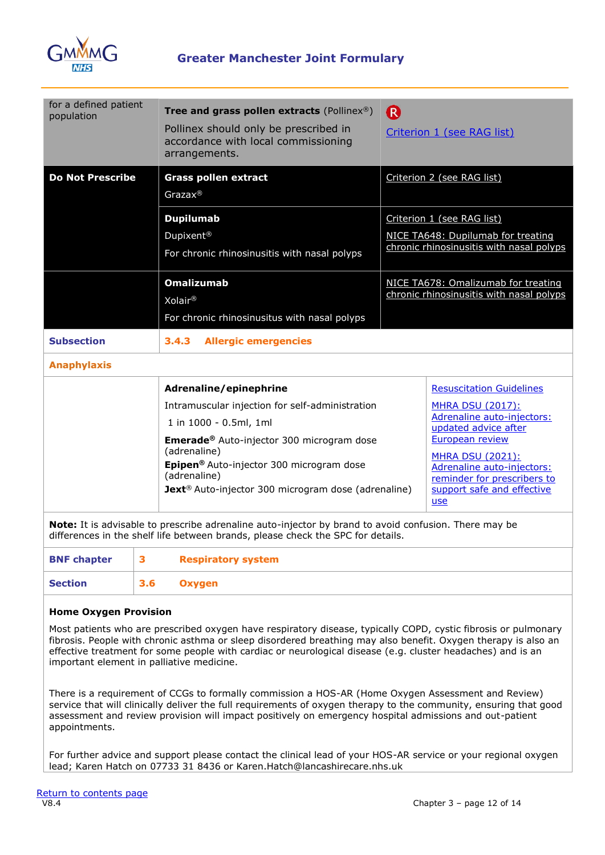

| for a defined patient                                                                                                                                                                    |                                                                                                  |                                                                                      |  |
|------------------------------------------------------------------------------------------------------------------------------------------------------------------------------------------|--------------------------------------------------------------------------------------------------|--------------------------------------------------------------------------------------|--|
| population                                                                                                                                                                               | Tree and grass pollen extracts (Pollinex®)                                                       | (R)                                                                                  |  |
|                                                                                                                                                                                          | Pollinex should only be prescribed in<br>accordance with local commissioning<br>arrangements.    | Criterion 1 (see RAG list)                                                           |  |
| <b>Do Not Prescribe</b>                                                                                                                                                                  | <b>Grass pollen extract</b>                                                                      | Criterion 2 (see RAG list)                                                           |  |
|                                                                                                                                                                                          | $Grazax^@$                                                                                       |                                                                                      |  |
|                                                                                                                                                                                          | <b>Dupilumab</b>                                                                                 | Criterion 1 (see RAG list)                                                           |  |
|                                                                                                                                                                                          | Dupixent <sup>®</sup>                                                                            | NICE TA648: Dupilumab for treating                                                   |  |
|                                                                                                                                                                                          | For chronic rhinosinusitis with nasal polyps                                                     | chronic rhinosinusitis with nasal polyps                                             |  |
|                                                                                                                                                                                          | <b>Omalizumab</b>                                                                                | NICE TA678: Omalizumab for treating                                                  |  |
|                                                                                                                                                                                          | Xolair <sup>®</sup>                                                                              | chronic rhinosinusitis with nasal polyps                                             |  |
|                                                                                                                                                                                          | For chronic rhinosinusitus with nasal polyps                                                     |                                                                                      |  |
| <b>Subsection</b>                                                                                                                                                                        | 3.4.3<br><b>Allergic emergencies</b>                                                             |                                                                                      |  |
| <b>Anaphylaxis</b>                                                                                                                                                                       |                                                                                                  |                                                                                      |  |
|                                                                                                                                                                                          | Adrenaline/epinephrine                                                                           | <b>Resuscitation Guidelines</b>                                                      |  |
|                                                                                                                                                                                          | Intramuscular injection for self-administration                                                  | <b>MHRA DSU (2017):</b>                                                              |  |
|                                                                                                                                                                                          | 1 in 1000 - 0.5ml, 1ml                                                                           | Adrenaline auto-injectors:<br>updated advice after                                   |  |
| <b>Emerade®</b> Auto-injector 300 microgram dose<br>(adrenaline)                                                                                                                         |                                                                                                  | European review                                                                      |  |
| Epipen® Auto-injector 300 microgram dose<br>(adrenaline)                                                                                                                                 |                                                                                                  | <b>MHRA DSU (2021):</b><br>Adrenaline auto-injectors:<br>reminder for prescribers to |  |
|                                                                                                                                                                                          | <b>Jext</b> ® Auto-injector 300 microgram dose (adrenaline)<br>support safe and effective<br>use |                                                                                      |  |
| Note: It is advisable to prescribe adrenaline auto-injector by brand to avoid confusion. There may be<br>differences in the shelf life between brands, please check the SPC for details. |                                                                                                  |                                                                                      |  |
| <b>BNF chapter</b>                                                                                                                                                                       | 3<br><b>Respiratory system</b>                                                                   |                                                                                      |  |
|                                                                                                                                                                                          |                                                                                                  |                                                                                      |  |

<span id="page-11-0"></span>

| <b>BNF chapter</b> |     | <b>Respiratory system</b> |
|--------------------|-----|---------------------------|
| <b>Section</b>     | 3.6 | Oxygen                    |
|                    |     |                           |

## **Home Oxygen Provision**

Most patients who are prescribed oxygen have respiratory disease, typically COPD, cystic fibrosis or pulmonary fibrosis. People with chronic asthma or sleep disordered breathing may also benefit. Oxygen therapy is also an effective treatment for some people with cardiac or neurological disease (e.g. cluster headaches) and is an important element in palliative medicine.

There is a requirement of CCGs to formally commission a HOS-AR (Home Oxygen Assessment and Review) service that will clinically deliver the full requirements of oxygen therapy to the community, ensuring that good assessment and review provision will impact positively on emergency hospital admissions and out-patient appointments.

For further advice and support please contact the clinical lead of your HOS-AR service or your regional oxygen lead; Karen Hatch on 07733 31 8436 or Karen.Hatch@lancashirecare.nhs.uk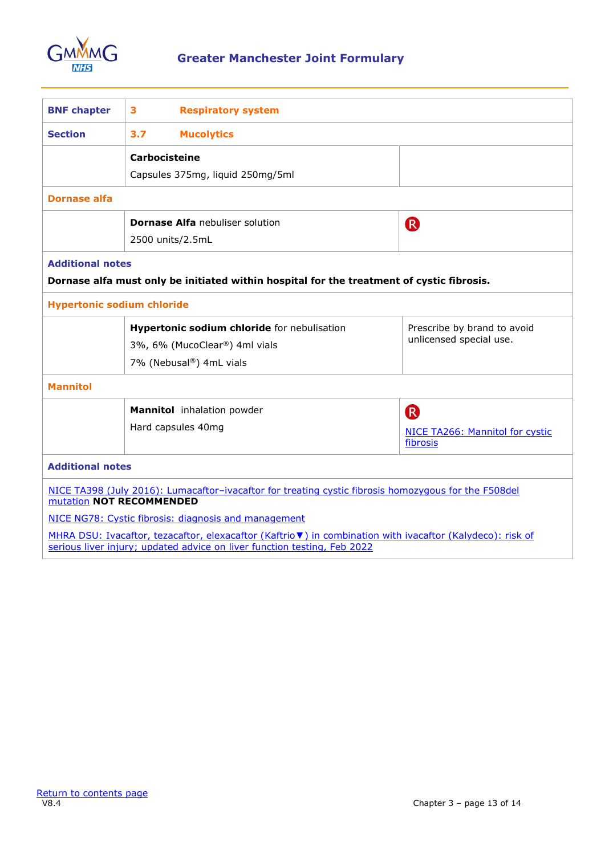

<span id="page-12-0"></span>

| <b>BNF chapter</b>                                   | 3<br><b>Respiratory system</b>                                                                                                                                                         |                                             |  |  |
|------------------------------------------------------|----------------------------------------------------------------------------------------------------------------------------------------------------------------------------------------|---------------------------------------------|--|--|
| <b>Section</b>                                       | 3.7<br><b>Mucolytics</b>                                                                                                                                                               |                                             |  |  |
|                                                      | <b>Carbocisteine</b>                                                                                                                                                                   |                                             |  |  |
|                                                      | Capsules 375mg, liquid 250mg/5ml                                                                                                                                                       |                                             |  |  |
| <b>Dornase alfa</b>                                  |                                                                                                                                                                                        |                                             |  |  |
|                                                      | <b>Dornase Alfa</b> nebuliser solution                                                                                                                                                 | (R)                                         |  |  |
|                                                      | 2500 units/2.5mL                                                                                                                                                                       |                                             |  |  |
| <b>Additional notes</b>                              |                                                                                                                                                                                        |                                             |  |  |
|                                                      | Dornase alfa must only be initiated within hospital for the treatment of cystic fibrosis.                                                                                              |                                             |  |  |
| <b>Hypertonic sodium chloride</b>                    |                                                                                                                                                                                        |                                             |  |  |
|                                                      | Hypertonic sodium chloride for nebulisation                                                                                                                                            | Prescribe by brand to avoid                 |  |  |
|                                                      | 3%, 6% (MucoClear®) 4ml vials                                                                                                                                                          | unlicensed special use.                     |  |  |
|                                                      | 7% (Nebusal®) 4mL vials                                                                                                                                                                |                                             |  |  |
| <b>Mannitol</b>                                      |                                                                                                                                                                                        |                                             |  |  |
|                                                      | Mannitol inhalation powder                                                                                                                                                             | <sup>R</sup>                                |  |  |
|                                                      | Hard capsules 40mg                                                                                                                                                                     | NICE TA266: Mannitol for cystic<br>fibrosis |  |  |
| <b>Additional notes</b>                              |                                                                                                                                                                                        |                                             |  |  |
|                                                      | NICE TA398 (July 2016): Lumacaftor-ivacaftor for treating cystic fibrosis homozygous for the F508del<br>mutation NOT RECOMMENDED                                                       |                                             |  |  |
| NICE NG78: Cystic fibrosis: diagnosis and management |                                                                                                                                                                                        |                                             |  |  |
|                                                      | MHRA DSU: Ivacaftor, tezacaftor, elexacaftor (Kaftrio v) in combination with ivacaftor (Kalydeco): risk of<br>serious liver injury; updated advice on liver function testing, Feb 2022 |                                             |  |  |